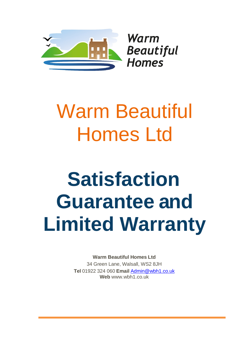

# Warm Beautiful Homes Ltd

# **Satisfaction Guarantee and Limited Warranty**

**Warm Beautiful Homes Ltd** 34 Green Lane, Walsall, WS2 8JH **Tel** 01922 324 060 **Email** [Admin@wbh1.co.uk](mailto:Admin@wbh1.co.uk) **Web** [www.wbh1.co.uk](http://www.fixability.net/)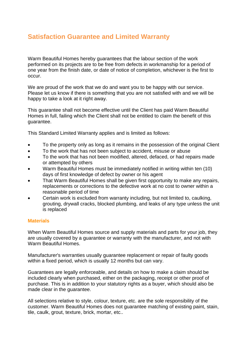### **Satisfaction Guarantee and Limited Warranty**

Warm Beautiful Homes hereby guarantees that the labour section of the work performed on its projects are to be free from defects in workmanship for a period of one year from the finish date, or date of notice of completion, whichever is the first to occur.

We are proud of the work that we do and want you to be happy with our service. Please let us know if there is something that you are not satisfied with and we will be happy to take a look at it right away.

This guarantee shall not become effective until the Client has paid Warm Beautiful Homes in full, failing which the Client shall not be entitled to claim the benefit of this guarantee.

This Standard Limited Warranty applies and is limited as follows:

- To the property only as long as it remains in the possession of the original Client
- To the work that has not been subject to accident, misuse or abuse
- To the work that has not been modified, altered, defaced, or had repairs made or attempted by others
- Warm Beautiful Homes must be immediately notified in writing within ten (10) days of first knowledge of defect by owner or his agent
- That Warm Beautiful Homes shall be given first opportunity to make any repairs, replacements or corrections to the defective work at no cost to owner within a reasonable period of time
- Certain work is excluded from warranty including, but not limited to, caulking, grouting, drywall cracks, blocked plumbing, and leaks of any type unless the unit is replaced

#### **Materials**

When Warm Beautiful Homes source and supply materials and parts for your job, they are usually covered by a guarantee or warranty with the manufacturer, and not with Warm Beautiful Homes.

Manufacturer's warranties usually guarantee replacement or repair of faulty goods within a fixed period, which is usually 12 months but can vary.

Guarantees are legally enforceable, and details on how to make a claim should be included clearly when purchased, either on the packaging, receipt or other proof of purchase. This is in addition to your statutory rights as a buyer, which should also be made clear in the guarantee.

All selections relative to style, colour, texture, etc. are the sole responsibility of the customer. Warm Beautiful Homes does not guarantee matching of existing paint, stain, tile, caulk, grout, texture, brick, mortar, etc..